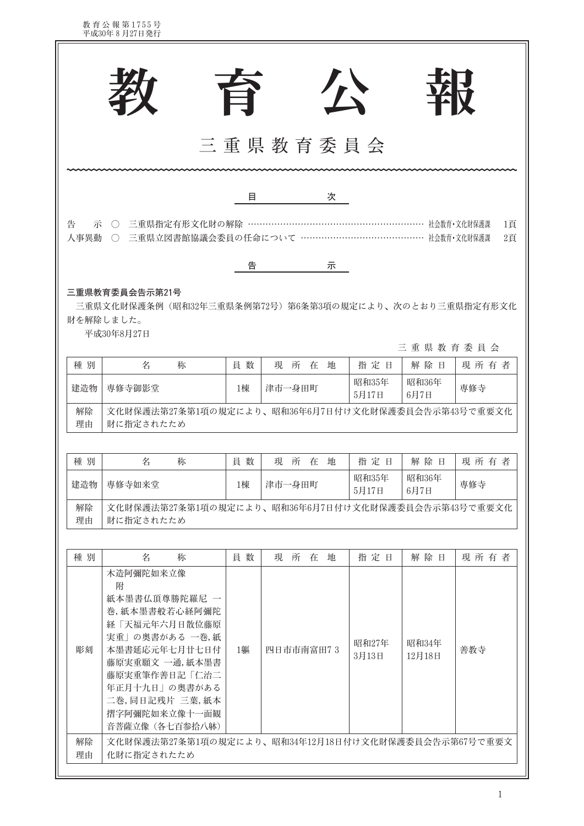教育公報第1755号<br>平成30年8月27日発行

|           |                                                                                                                                                                                                                |                                                     | 台        |        |           | 公 |                       | <b>YA V</b>                      |             |
|-----------|----------------------------------------------------------------------------------------------------------------------------------------------------------------------------------------------------------------|-----------------------------------------------------|----------|--------|-----------|---|-----------------------|----------------------------------|-------------|
|           |                                                                                                                                                                                                                |                                                     |          |        |           |   | 三重県教育委員会              |                                  |             |
|           |                                                                                                                                                                                                                |                                                     | 目        |        |           | 次 |                       |                                  |             |
| 告<br>人事異動 | 示 ○ 三重県指定有形文化財の解除 ……………                                                                                                                                                                                        | ○ 三重県立図書館協議会委員の任命について ……………………………………… 社会教育·文化財保護課   |          |        |           |   |                       |                                  | 1頁<br>2頁    |
|           |                                                                                                                                                                                                                |                                                     | 告        |        |           | 示 |                       |                                  |             |
| 種別<br>建造物 | 名<br>専修寺御影堂                                                                                                                                                                                                    | 称                                                   | 員数<br>1棟 | 津市一身田町 | 現所在地      |   | 指定日<br>昭和35年<br>5月17日 | 三重県教育委員会<br>解除日<br>昭和36年<br>6月7日 | 現所有者<br>専修寺 |
| 解除<br>理由  | 財に指定されたため                                                                                                                                                                                                      | 文化財保護法第27条第1項の規定により、昭和36年6月7日付け文化財保護委員会告示第43号で重要文化  |          |        |           |   |                       |                                  |             |
| 種別        | 名                                                                                                                                                                                                              | 称                                                   | 員数       |        | 現所在地      |   | 指定日                   | 解除日                              | 現所有者        |
| 建造物       | 専修寺如来堂                                                                                                                                                                                                         |                                                     | 1棟       | 津市一身田町 |           |   | 昭和35年<br>5月17日        | 昭和36年<br>6月7日                    | 専修寺         |
| 解除<br>理由  | 財に指定されたため                                                                                                                                                                                                      | 文化財保護法第27条第1項の規定により、昭和36年6月7日付け文化財保護委員会告示第43号で重要文化  |          |        |           |   |                       |                                  |             |
| 種別        | 名                                                                                                                                                                                                              | 称                                                   | 員数       |        | 現所在地      |   | 指定日                   | 解除日                              | 現所有者        |
| 彫刻        | 木造阿彌陀如来立像<br>附<br>紙本墨書仏頂尊勝陀羅尼 一<br>卷,紙本墨書般若心経阿彌陀<br>経「天福元年六月日散位藤原<br>実重」の奥書がある 一巻,紙<br>本墨書延応元年七月廿七日付<br>藤原実重願文 一通,紙本墨書<br>藤原実重筆作善日記「仁治二<br>年正月十九日」の奥書がある<br>二卷,同日記残片 三葉,紙本<br>摺字阿彌陀如来立像十一面観<br>音菩薩立像 (各七百参拾八躰) |                                                     | 1軀       |        | 四日市市南富田73 |   | 昭和27年<br>3月13日        | 昭和34年<br>12月18日                  | 善教寺         |
| 解除<br>理由  | 化財に指定されたため                                                                                                                                                                                                     | 文化財保護法第27条第1項の規定により、昭和34年12月18日付け文化財保護委員会告示第67号で重要文 |          |        |           |   |                       |                                  |             |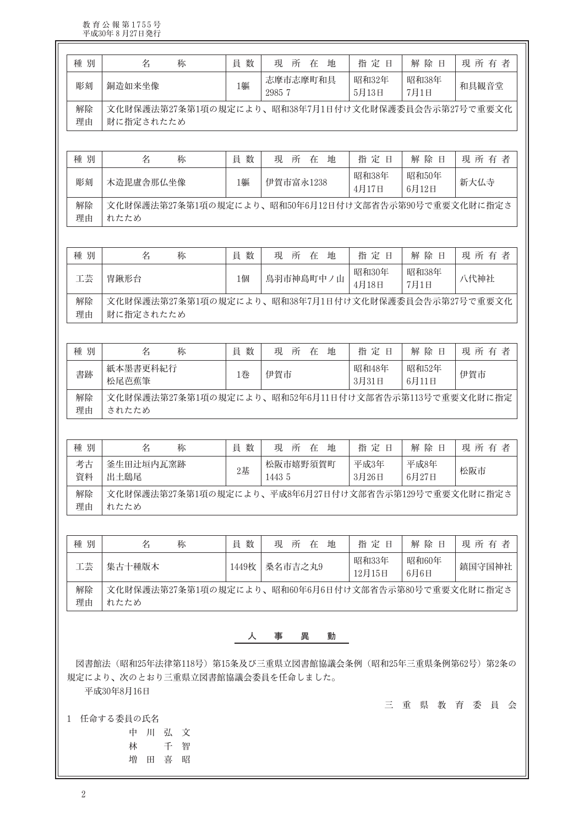教育公報第1755号<br>平成30年8月27日発行

| 種別                               | 名<br>称                                                                                                    | 員数    | 現<br>所<br>在<br>地 | 指定日             | 解除日            | 現所有者                   |  |
|----------------------------------|-----------------------------------------------------------------------------------------------------------|-------|------------------|-----------------|----------------|------------------------|--|
|                                  |                                                                                                           |       | 志摩市志摩町和具         | 昭和32年           | 昭和38年          |                        |  |
| 彫刻                               | 銅造如来坐像                                                                                                    | 1軀    | 2985 7           | 5月13日           | 7月1日           | 和具観音堂                  |  |
| 解除<br>理由                         | 文化財保護法第27条第1項の規定により、昭和38年7月1日付け文化財保護委員会告示第27号で重要文化<br>財に指定されたため                                           |       |                  |                 |                |                        |  |
| 種別                               | 名<br>称                                                                                                    | 員数    | 現<br>所<br>在<br>地 | 指定日             | 解除日            | 現所有者                   |  |
|                                  |                                                                                                           |       |                  | 昭和38年           | 昭和50年          |                        |  |
| 彫刻                               | 木造毘盧舎那仏坐像                                                                                                 | 1軀    | 伊賀市富永1238        | 4月17日           | 6月12日          | 新大仏寺                   |  |
| 解除<br>理由                         | 文化財保護法第27条第1項の規定により、昭和50年6月12日付け文部省告示第90号で重要文化財に指定さ<br>れたため                                               |       |                  |                 |                |                        |  |
| 種別                               | 名<br>称                                                                                                    | 員数    | 現<br>所<br>在 地    | 指定日             | 解除日            | 現所有者                   |  |
|                                  |                                                                                                           |       |                  | 昭和30年           | 昭和38年          |                        |  |
| 工芸                               | 冑鍬形台                                                                                                      | 1個    | 鳥羽市神島町中ノ山        | 4月18日           | 7月1日           | 八代神社                   |  |
| 解除<br>理由                         | 文化財保護法第27条第1項の規定により、昭和38年7月1日付け文化財保護委員会告示第27号で重要文化<br>財に指定されたため                                           |       |                  |                 |                |                        |  |
| 種別                               | 名<br>称                                                                                                    | 員数    | 地<br>現 所 在       | 指定日             | 解除日            | 現所有者                   |  |
| 書跡                               | 紙本墨書更科紀行<br>松尾芭蕉筆                                                                                         | 1巻    | 伊賀市              | 昭和48年<br>3月31日  | 昭和52年<br>6月11日 | 伊賀市                    |  |
| 解除                               | 文化財保護法第27条第1項の規定により、昭和52年6月11日付け文部省告示第113号で重要文化財に指定                                                       |       |                  |                 |                |                        |  |
|                                  | されたため                                                                                                     |       |                  |                 |                |                        |  |
|                                  | 名<br>称                                                                                                    | 員数    | 現<br>所<br>在<br>地 | 指定日             | 解除日            |                        |  |
|                                  | 釜生田辻垣内瓦窯跡                                                                                                 | $2$ 基 | 松阪市嬉野須賀町         | 平成3年            | 平成8年           | 松阪市                    |  |
| 理由<br>考古<br>資料<br>解除             | 出土鴟尾<br>文化財保護法第27条第1項の規定により、平成8年6月27日付け文部省告示第129号で重要文化財に指定さ                                               |       | 1443 5           | 3月26日           | 6月27日          |                        |  |
|                                  | れたため                                                                                                      |       |                  |                 |                |                        |  |
|                                  | 名<br>称                                                                                                    | 員数    | 現所在地             | 指定日             | 解除日            |                        |  |
|                                  | 集古十種版木                                                                                                    | 1449枚 | 桑名市吉之丸9          | 昭和33年<br>12月15日 | 昭和60年<br>6月6日  |                        |  |
|                                  | 文化財保護法第27条第1項の規定により、昭和60年6月6日付け文部省告示第80号で重要文化財に指定さ<br>れたため                                                |       |                  |                 |                |                        |  |
|                                  |                                                                                                           | 人     | 動<br>事<br>異      |                 |                |                        |  |
| 種別<br>理由<br>種別<br>工芸<br>解除<br>理由 | 図書館法(昭和25年法律第118号)第15条及び三重県立図書館協議会条例(昭和25年三重県条例第62号)第2条の<br>規定により、次のとおり三重県立図書館協議会委員を任命しました。<br>平成30年8月16日 |       |                  |                 |                | 現所有者<br>現所有者<br>鎮国守国神社 |  |

林 千智 增田喜昭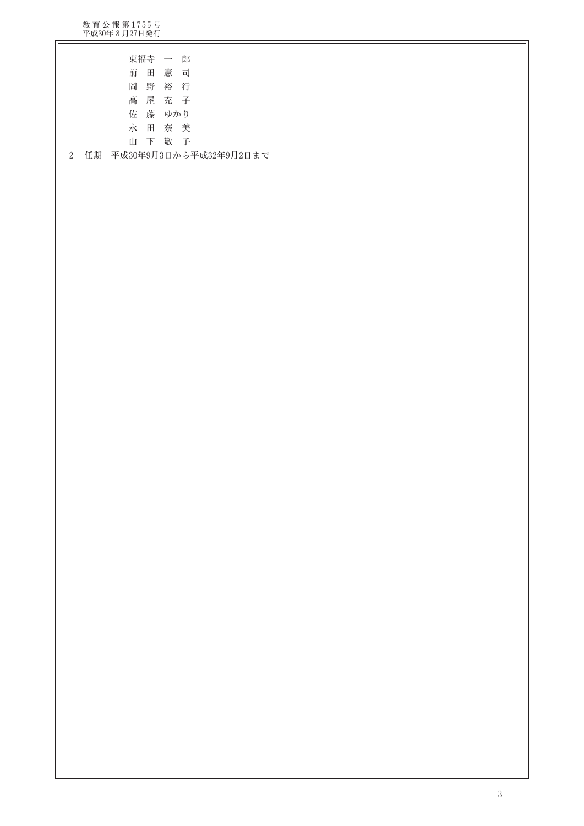教育公報第1755号<br>平成30年8月27日発行

| 東福寺 一郎                                      |
|---------------------------------------------|
| 前田憲司                                        |
| 岡 野 裕 行                                     |
| 高屋充子                                        |
| 佐藤 ゆかり                                      |
| 永田奈美                                        |
| 山下敬子                                        |
| 任期 平成30年9月3日から平成32年9月2日まで<br>$\overline{2}$ |
|                                             |
|                                             |
|                                             |
|                                             |
|                                             |
|                                             |
|                                             |
|                                             |
|                                             |
|                                             |
|                                             |
|                                             |
|                                             |
|                                             |
|                                             |
|                                             |
|                                             |
|                                             |
|                                             |
|                                             |
|                                             |
|                                             |
|                                             |
|                                             |
|                                             |
|                                             |
|                                             |
|                                             |
|                                             |
|                                             |
|                                             |
|                                             |
|                                             |
|                                             |
|                                             |
|                                             |
|                                             |
|                                             |
|                                             |
|                                             |
|                                             |
|                                             |